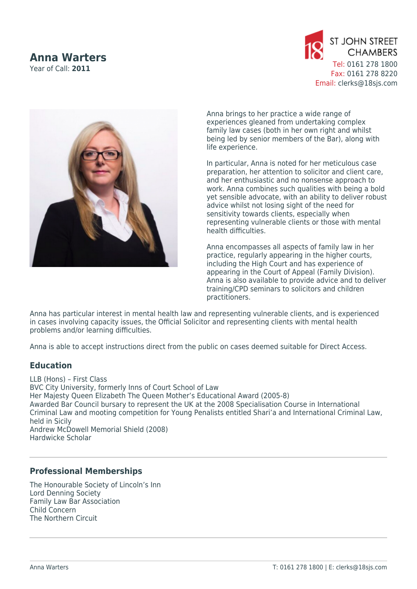## **Anna Warters**

Year of Call: **2011**





Anna brings to her practice a wide range of experiences gleaned from undertaking complex family law cases (both in her own right and whilst being led by senior members of the Bar), along with life experience.

In particular, Anna is noted for her meticulous case preparation, her attention to solicitor and client care, and her enthusiastic and no nonsense approach to work. Anna combines such qualities with being a bold yet sensible advocate, with an ability to deliver robust advice whilst not losing sight of the need for sensitivity towards clients, especially when representing vulnerable clients or those with mental health difficulties.

Anna encompasses all aspects of family law in her practice, regularly appearing in the higher courts, including the High Court and has experience of appearing in the Court of Appeal (Family Division). Anna is also available to provide advice and to deliver training/CPD seminars to solicitors and children practitioners.

Anna has particular interest in mental health law and representing vulnerable clients, and is experienced in cases involving capacity issues, the Official Solicitor and representing clients with mental health problems and/or learning difficulties.

Anna is able to accept instructions direct from the public on cases deemed suitable for Direct Access.

## **Education**

LLB (Hons) – First Class BVC City University, formerly Inns of Court School of Law Her Majesty Queen Elizabeth The Queen Mother's Educational Award (2005-8) Awarded Bar Council bursary to represent the UK at the 2008 Specialisation Course in International Criminal Law and mooting competition for Young Penalists entitled Shari'a and International Criminal Law, held in Sicily Andrew McDowell Memorial Shield (2008) Hardwicke Scholar

## **Professional Memberships**

The Honourable Society of Lincoln's Inn Lord Denning Society Family Law Bar Association Child Concern The Northern Circuit